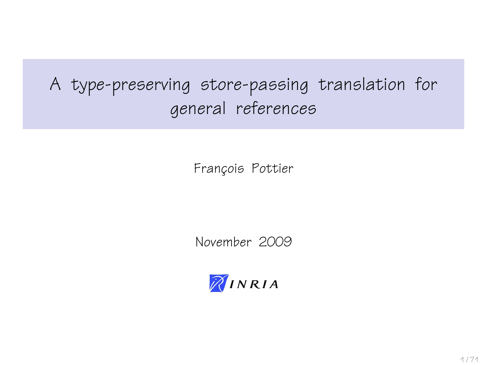# A type-preserving store-passing translation for general references

François Pottier

November 2009

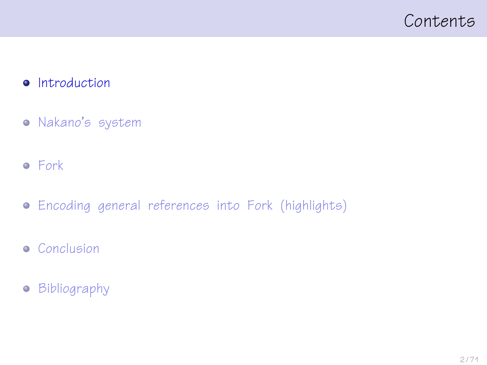### <span id="page-1-0"></span>Contents

#### **•** [Introduction](#page-1-0)

- [Nakano's system](#page-25-0)
- [Fork](#page-40-0)
- [Encoding general references into Fork \(highlights\)](#page-49-0)
- **•** [Conclusion](#page-64-0)
- [Bibliography](#page-66-0)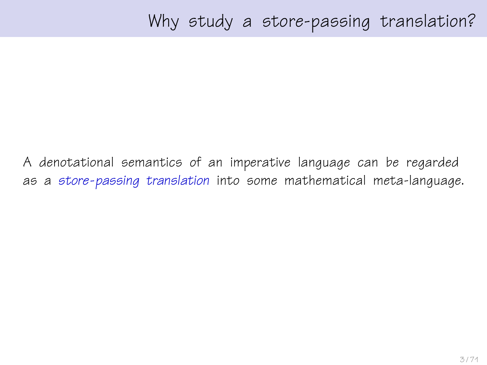A denotational semantics of an imperative language can be regarded as a store-passing translation into some mathematical meta-language.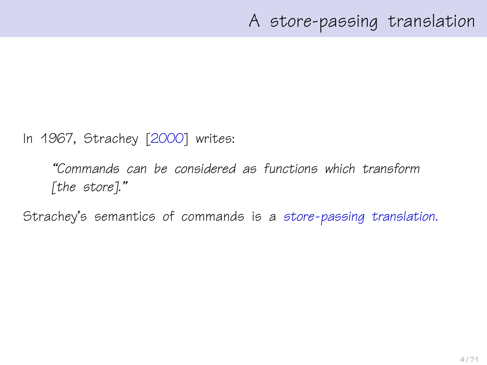In 1967, Strachey [\[2000\]](#page-70-0) writes:

"Commands can be considered as functions which transform [the store]."

Strachey's semantics of commands is a store-passing translation.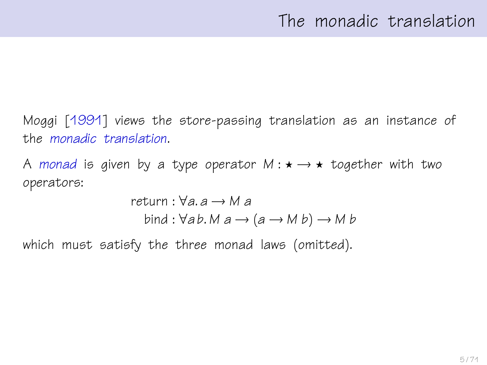Moggi [\[1991\]](#page-68-0) views the store-passing translation as an instance of the monadic translation.

A monad is given by a type operator  $M: \star \rightarrow \star$  together with two operators:

return : ∀a. a → M a bind : ∀a b. M a → (a → M b) → M b

which must satisfy the three monad laws (omitted).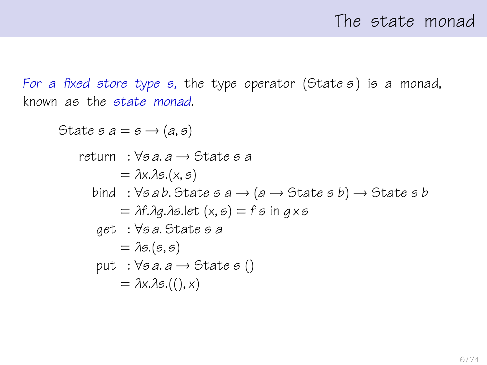For a fixed store type s, the type operator (State s) is a monad, known as the state monad.

```
State s a = s \rightarrow (a, s)return : \foralls a. a \rightarrow State s a
                 = \lambda x.\lambda s.(x, s)bind : \foralls ab. State s a \rightarrow (a \rightarrow State s b) \rightarrow State s b
                 = \lambda f \cdot \lambda q \cdot \lambda s. let (x, s) = fs in g x s
          get : ∀s a. State s a
                 = \lambdas.(s, s)
          put : \forall s \, a \rightarrow 5tate s ()
                 = \lambda x \cdot \lambda s.((), x)
```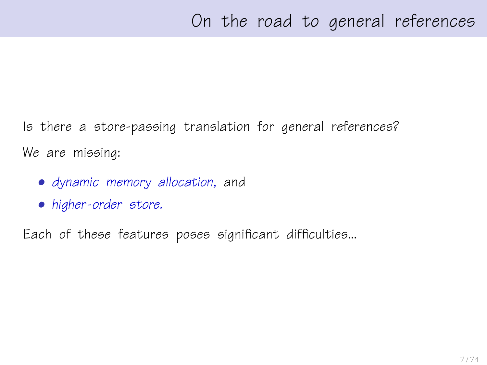Is there a store-passing translation for general references? We are missing:

- dynamic memory allocation, and
- higher-order store.

Each of these features poses significant difficulties...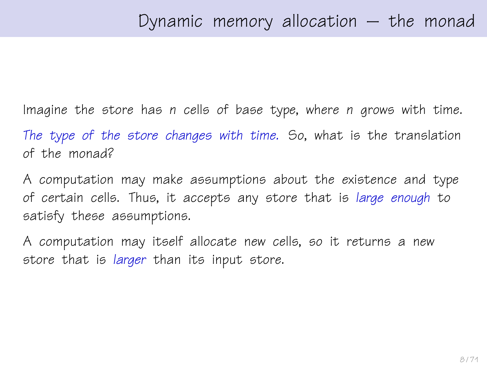Imagine the store has n cells of base type, where n grows with time. The type of the store changes with time. So, what is the translation of the monad?

A computation may make assumptions about the existence and type of certain cells. Thus, it accepts any store that is large enough to satisfy these assumptions.

A computation may itself allocate new cells, so it returns a new store that is *larger* than its input store.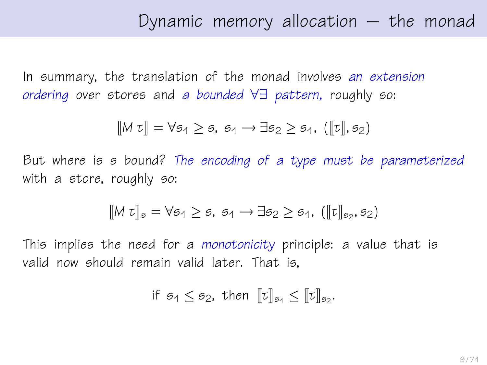In summary, the translation of the monad involves an extension ordering over stores and a bounded ∀∃ pattern, roughly so:

$$
\llbracket M \ \tau \rrbracket = \forall \mathfrak{s}_1 \geq \mathfrak{s}, \ \mathfrak{s}_1 \to \exists \mathfrak{s}_2 \geq \mathfrak{s}_1, \ ([\![\tau]\!], \mathfrak{s}_2)
$$

But where is s bound? The encoding of a type must be parameterized with a store, roughly so:

$$
[\![M \; \tau]\!]_s = \forall s_1 \geq s, \; s_1 \to \exists s_2 \geq s_1, \; ([\![\tau]\!]_{s_2}, s_2)
$$

This implies the need for a monotonicity principle: a value that is valid now should remain valid later. That is,

$$
\text{if } \mathfrak{s}_1 \leq \mathfrak{s}_2 \text{, then } \llbracket \mathfrak{r} \rrbracket_{\mathfrak{s}_1} \leq \llbracket \mathfrak{r} \rrbracket_{\mathfrak{s}_2}.
$$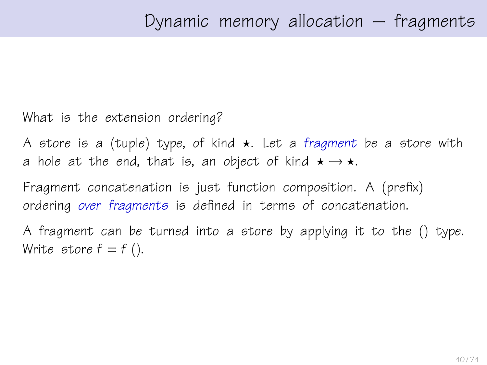What is the extension ordering?

A store is a (tuple) type, of kind  $\star$ . Let a fragment be a store with a hole at the end, that is, an object of kind  $\star \rightarrow \star$ .

Fragment concatenation is just function composition. A (prefix) ordering over fragments is defined in terms of concatenation.

A fragment can be turned into a store by applying it to the () type. Write store  $f = f()$ .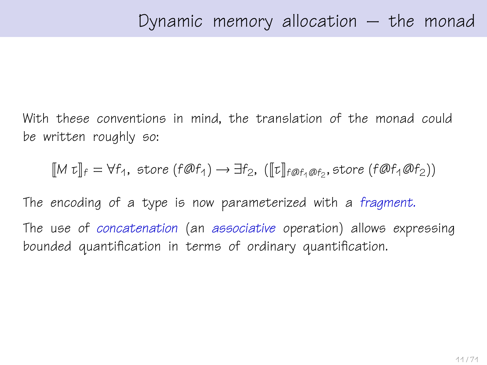With these conventions in mind, the translation of the monad could be written roughly so:

 $[M \tau]_f = \forall f_1$ , store  $(f \mathcal{Q} f_1) \rightarrow \exists f_2$ ,  $([\![t]\!]_{f \mathcal{Q} f_1 \mathcal{Q} f_2}$ , store  $(f \mathcal{Q} f_1 \mathcal{Q} f_2))$ 

The encoding of a type is now parameterized with a fragment. The use of concatenation (an associative operation) allows expressing bounded quantification in terms of ordinary quantification.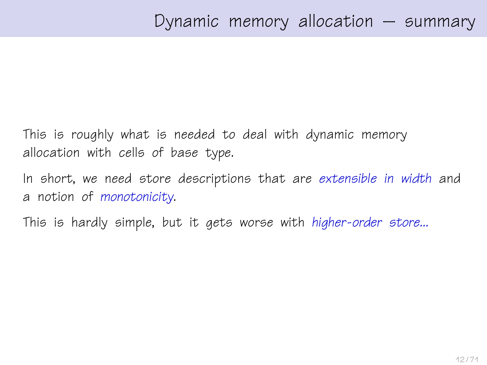This is roughly what is needed to deal with dynamic memory allocation with cells of base type.

In short, we need store descriptions that are extensible in width and a notion of monotonicity.

This is hardly simple, but it gets worse with higher-order store...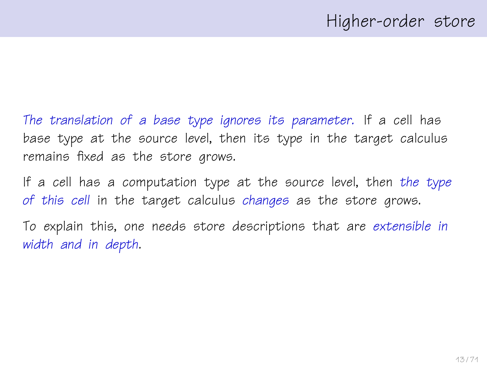The translation of a base type ignores its parameter. If a cell has base type at the source level, then its type in the target calculus remains fixed as the store grows.

If a cell has a computation type at the source level, then the type of this cell in the target calculus changes as the store grows.

To explain this, one needs store descriptions that are extensible in width and in depth.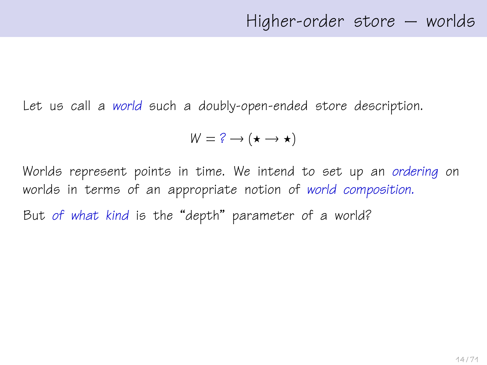Let us call a world such a doubly-open-ended store description.

$$
W = ? \rightarrow (\star \rightarrow \star)
$$

Worlds represent points in time. We intend to set up an ordering on worlds in terms of an appropriate notion of world composition. But of what kind is the "depth" parameter of a world?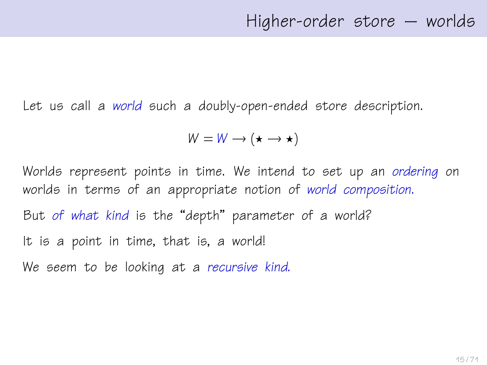Let us call a world such a doubly-open-ended store description.

$$
W = W \longrightarrow (\star \rightarrow \star)
$$

Worlds represent points in time. We intend to set up an ordering on worlds in terms of an appropriate notion of world composition. But of what kind is the "depth" parameter of a world? It is a point in time, that is, a world!

We seem to be looking at a recursive kind.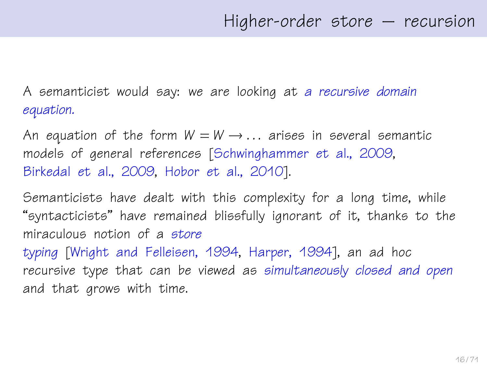A semanticist would say: we are looking at a recursive domain equation.

An equation of the form  $W = W \rightarrow \dots$  arises in several semantic models of general references [\[Schwinghammer et al., 2009,](#page-69-0) [Birkedal et al., 2009,](#page-67-0) [Hobor et al., 2010\]](#page-67-1).

Semanticists have dealt with this complexity for a long time, while "syntacticists" have remained blissfully ignorant of it, thanks to the miraculous notion of a store typing [\[Wright and Felleisen, 1994,](#page-70-1) [Harper, 1994\]](#page-67-2), an ad hoc recursive type that can be viewed as simultaneously closed and open

and that grows with time.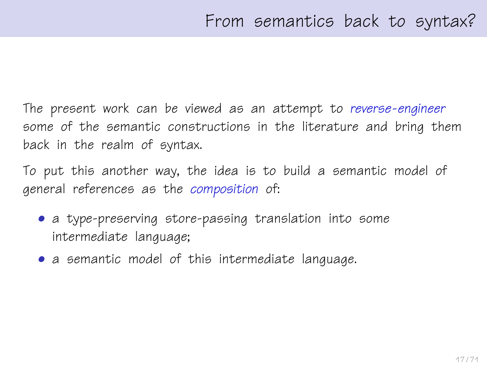The present work can be viewed as an attempt to reverse-engineer some of the semantic constructions in the literature and bring them back in the realm of syntax.

To put this another way, the idea is to build a semantic model of general references as the composition of:

- a type-preserving store-passing translation into some intermediate language;
- a semantic model of this intermediate language.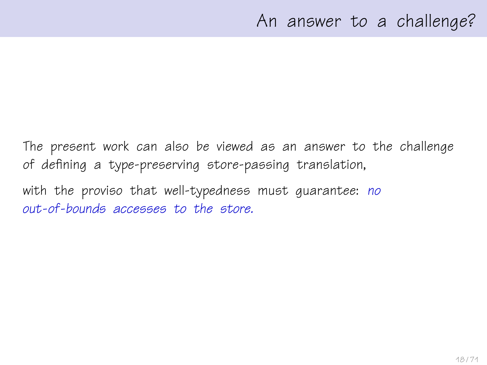The present work can also be viewed as an answer to the challenge of defining a type-preserving store-passing translation,

with the proviso that well-typedness must guarantee: no out-of-bounds accesses to the store.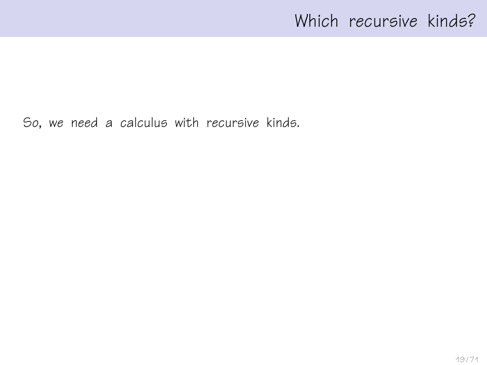## Which recursive kinds?

So, we need a calculus with recursive kinds.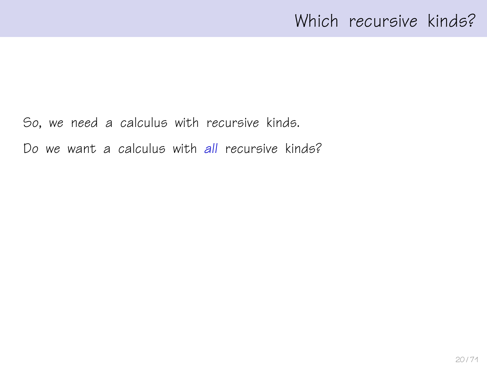## Which recursive kinds?

So, we need a calculus with recursive kinds.

Do we want a calculus with all recursive kinds?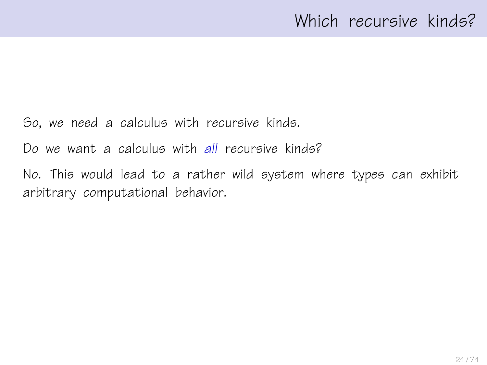So, we need a calculus with recursive kinds.

Do we want a calculus with all recursive kinds?

No. This would lead to a rather wild system where types can exhibit arbitrary computational behavior.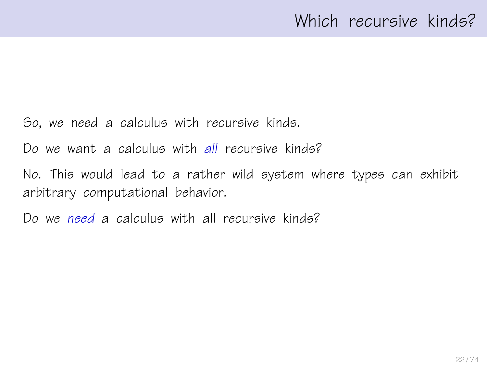So, we need a calculus with recursive kinds.

Do we want a calculus with all recursive kinds?

No. This would lead to a rather wild system where types can exhibit arbitrary computational behavior.

Do we need a calculus with all recursive kinds?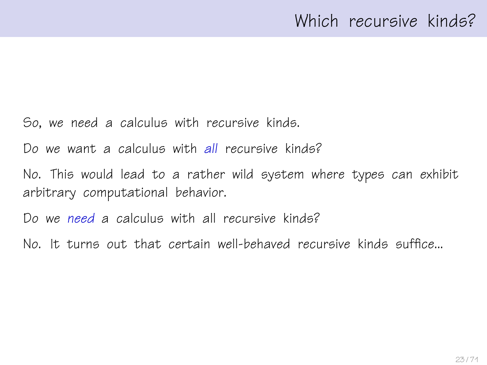So, we need a calculus with recursive kinds.

Do we want a calculus with all recursive kinds?

No. This would lead to a rather wild system where types can exhibit arbitrary computational behavior.

Do we need a calculus with all recursive kinds?

No. It turns out that certain well-behaved recursive kinds suffice...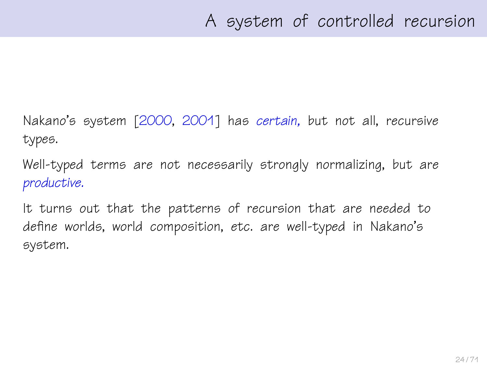Nakano's system [\[2000,](#page-68-1) [2001\]](#page-69-1) has certain, but not all, recursive types.

Well-typed terms are not necessarily strongly normalizing, but are productive.

It turns out that the patterns of recursion that are needed to define worlds, world composition, etc. are well-typed in Nakano's system.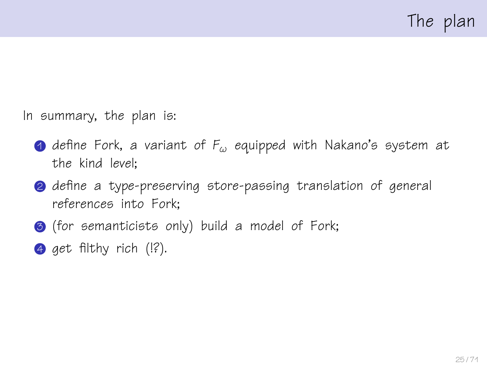In summary, the plan is:

- **1** define Fork, a variant of  $F_{\omega}$  equipped with Nakano's system at the kind level;
- **2** define a type-preserving store-passing translation of general references into Fork;
- **3** (for semanticists only) build a model of Fork;
- 4 get filthy rich  $($   $\left| \cdot \right\rangle$ .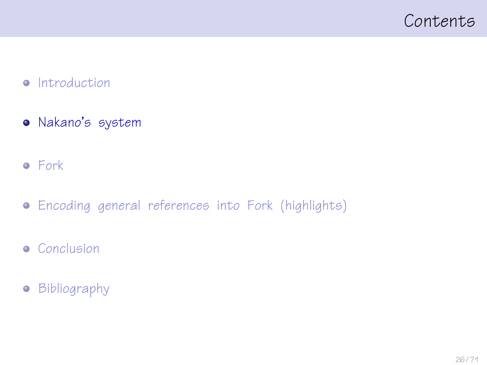### <span id="page-25-0"></span>Contents

#### • [Introduction](#page-1-0)

- [Nakano's system](#page-25-0)
- [Fork](#page-40-0)
- [Encoding general references into Fork \(highlights\)](#page-49-0)
- **•** [Conclusion](#page-64-0)
- [Bibliography](#page-66-0)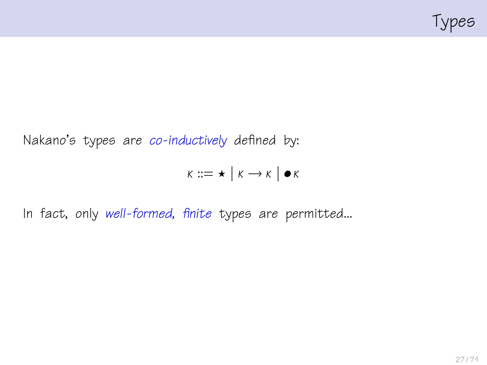

Nakano's types are co-inductively defined by:

$$
K ::= \star \mid K \rightarrow K \mid \bullet K
$$

In fact, only well-formed, finite types are permitted...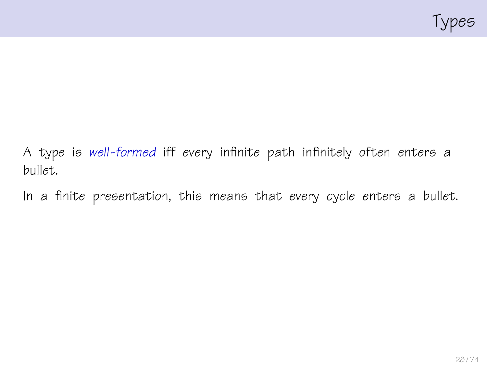

A type is well-formed iff every infinite path infinitely often enters a bullet.

In a finite presentation, this means that every cycle enters a bullet.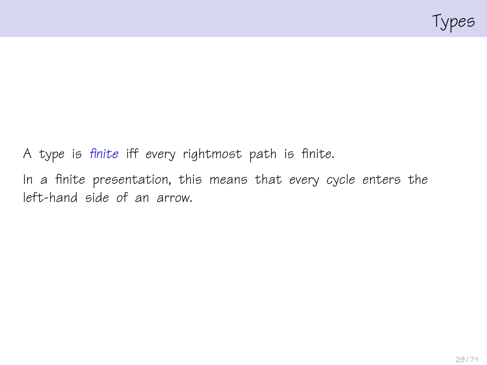

A type is finite iff every rightmost path is finite. In a finite presentation, this means that every cycle enters the left-hand side of an arrow.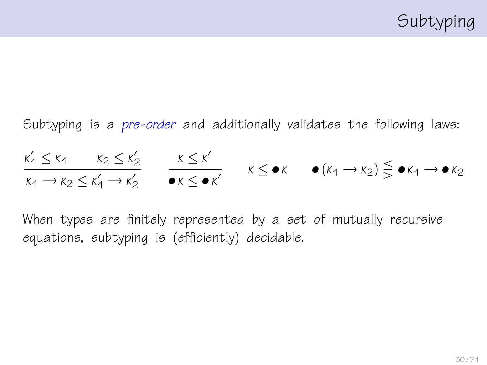Subtyping is a pre-order and additionally validates the following laws:  $\kappa'_1 \leq \kappa_1 \qquad \kappa_2 \leq \kappa'_2$  $\kappa_1 \rightarrow \kappa_2 \leq \kappa'_1 \rightarrow \kappa'_2$  $κ ≤ κ'$  $\overline{\bullet\kappa \leq \bullet\kappa'}$   $\kappa \leq \bullet\kappa$   $\bullet$   $(\kappa_1 \rightarrow \kappa_2) \leq \bullet\kappa_1 \rightarrow \bullet\kappa_2$ 

When types are finitely represented by a set of mutually recursive equations, subtyping is (efficiently) decidable.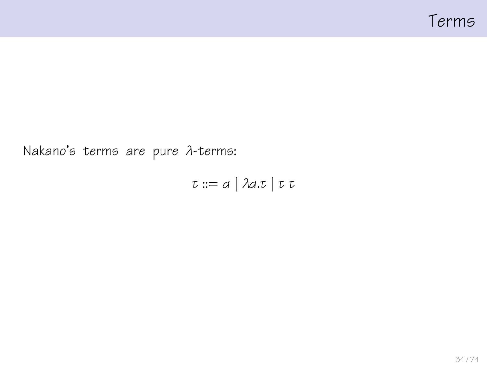

Nakano's terms are pure λ-terms:

τ ::= α | λα.τ | τ τ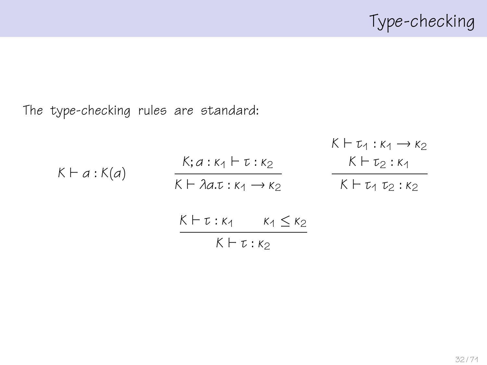The type-checking rules are standard:

$$
K \vdash \tau_1 : \kappa_1 \rightarrow \kappa_2
$$
\n
$$
K \vdash \tau_1 : \kappa_1 \rightarrow \kappa_2
$$
\n
$$
K \vdash \lambda a. \tau : \kappa_1 \rightarrow \kappa_2
$$
\n
$$
K \vdash \tau_2 : \kappa_1
$$
\n
$$
K \vdash \tau_1 : \kappa_2
$$
\n
$$
K \vdash \tau_1 : \kappa_2
$$
\n
$$
K \vdash \tau_1 : \kappa_2
$$
\n
$$
K \vdash \tau_1 : \kappa_2
$$
\n
$$
K \vdash \tau_1 : \kappa_2
$$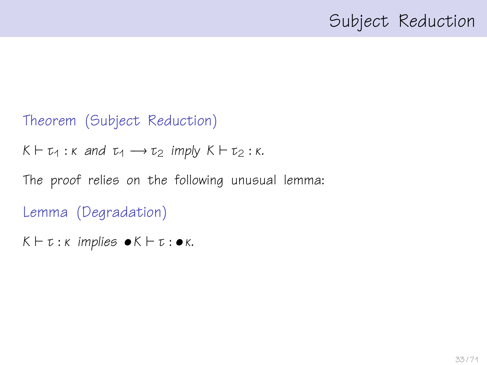## Subject Reduction

#### Theorem (Subject Reduction)

 $K \vdash \tau_1 : \kappa$  and  $\tau_1 \rightarrow \tau_2$  imply  $K \vdash \tau_2 : \kappa$ .

The proof relies on the following unusual lemma:

Lemma (Degradation)

 $K \vdash \tau : \kappa$  implies  $\bullet K \vdash \tau : \bullet \kappa$ .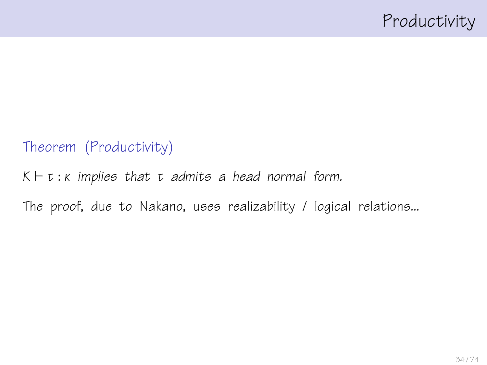#### Theorem (Productivity)

 $K \vdash t : \kappa$  implies that  $t$  admits a head normal form.

The proof, due to Nakano, uses realizability / logical relations...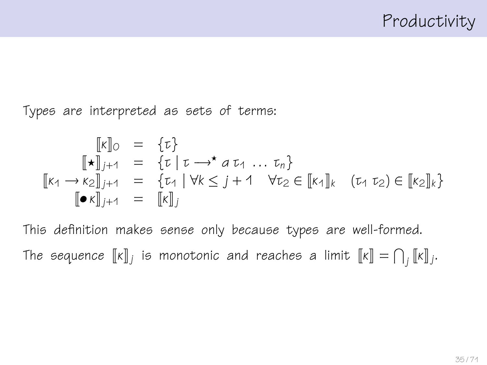Types are interpreted as sets of terms:

$$
\begin{array}{rcl}\n[\![\kappa]\!]_0 & = & \{\tau\} \\
[\![\star]\!]_{j+1} & = & \{\tau \mid \tau \longrightarrow^{\star} a \tau_1 \dots \tau_n\} \\
[\![\kappa_1 \longrightarrow \kappa_2]\!]_{j+1} & = & \{\tau_1 \mid \forall k \leq j+1 \quad \forall \tau_2 \in [\![\kappa_1]\!]_k \quad (\tau_1 \tau_2) \in [\![\kappa_2]\!]_k\} \\
[\![\bullet \kappa]\!]_{j+1} & = & [\![\kappa]\!]_j\n\end{array}
$$

This definition makes sense only because types are well-formed. The sequence  $\llbracket \mathsf{k} \rrbracket_j$  is monotonic and reaches a limit  $\llbracket \mathsf{k} \rrbracket = \bigcap_j \llbracket \mathsf{k} \rrbracket_j.$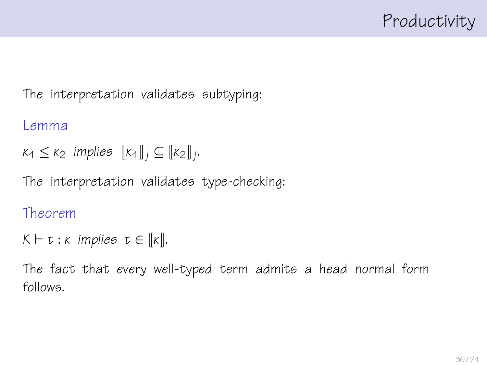The interpretation validates subtyping:

#### Lemma

 $\kappa_1 \leq \kappa_2$  implies  $[\![\kappa_4]\!]_j \subseteq [\![\kappa_2]\!]_j$ .

The interpretation validates type-checking:

#### Theorem

```
K \vdash \tau : \kappa implies \tau \in [\![\kappa]\!].
```
The fact that every well-typed term admits a head normal form follows.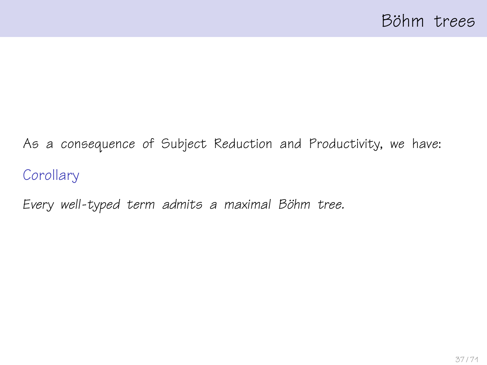# As a consequence of Subject Reduction and Productivity, we have: **Corollary**

Every well-typed term admits a maximal Böhm tree.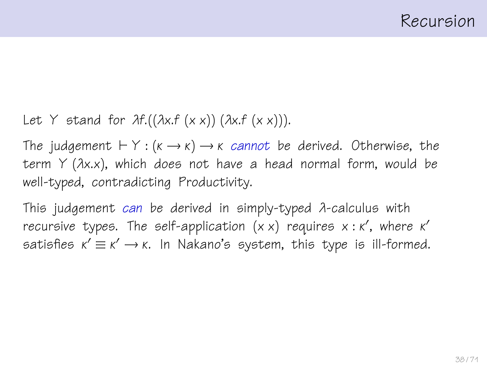Let Y stand for  $\lambda f.((\lambda x.f(x x))(\lambda x.f(x x))).$ 

The judgement  $\vdash Y : (k \rightarrow k) \rightarrow k$  cannot be derived. Otherwise, the term  $Y$  ( $\lambda$ x.x), which does not have a head normal form, would be well-typed, contradicting Productivity.

This judgement can be derived in simply-typed λ-calculus with recursive types. The self-application  $(x \times)$  requires  $x : \kappa'$ , where  $\kappa'$ satisfies  $\kappa' \equiv \kappa' \rightarrow \kappa$ . In Nakano's system, this type is ill-formed.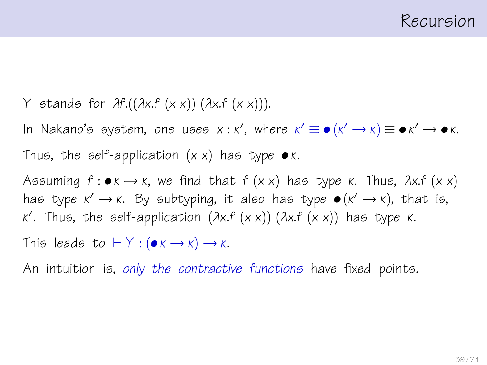Y stands for  $\lambda f.((\lambda x.f(x x))(\lambda x.f(x x))).$ 

In Nakano's system, one uses  $x : \kappa'$ , where  $\kappa' \equiv \bullet(\kappa' \to \kappa) \equiv \bullet \kappa' \to \bullet \kappa$ . Thus, the self-application  $(x \times)$  has type  $\bullet \kappa$ .

Assuming  $f: \bullet \kappa \to \kappa$ , we find that  $f(x \kappa)$  has type  $\kappa$ . Thus,  $\lambda x.f(x \kappa)$ has type  $\kappa' \to \kappa$ . By subtyping, it also has type  $\bullet (\kappa' \to \kappa)$ , that is, κ 0 . Thus, the self-application (λx.f (x x)) (λx.f (x x)) has type κ.

This leads to  $\vdash Y : (\bullet \kappa \rightarrow \kappa) \rightarrow \kappa$ .

An intuition is, only the contractive functions have fixed points.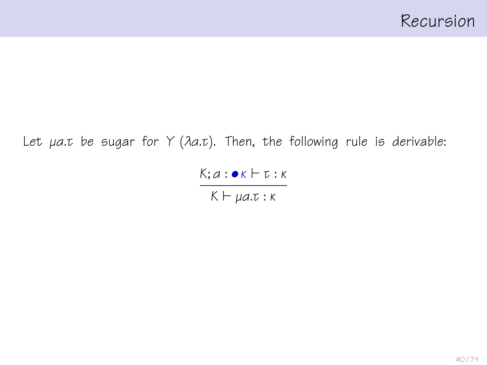Let  $\mu a \cdot \tau$  be sugar for Y ( $\lambda a \cdot \tau$ ). Then, the following rule is derivable:

 $K; a : \bullet K \vdash t : K$  $K \vdash μa.t : K$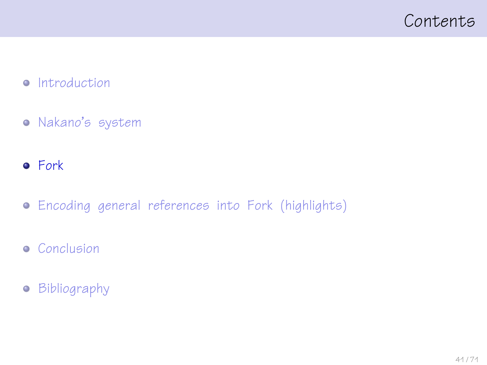### <span id="page-40-0"></span>Contents

#### • [Introduction](#page-1-0)

- [Nakano's system](#page-25-0)
- **•** [Fork](#page-40-0)
- [Encoding general references into Fork \(highlights\)](#page-49-0)
- **•** [Conclusion](#page-64-0)
- [Bibliography](#page-66-0)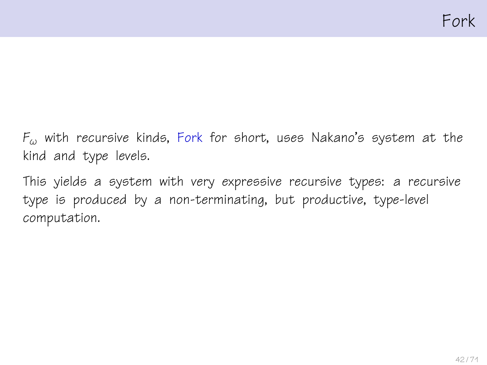$F_{\omega}$  with recursive kinds, Fork for short, uses Nakano's system at the kind and type levels.

This yields a system with very expressive recursive types: a recursive type is produced by a non-terminating, but productive, type-level computation.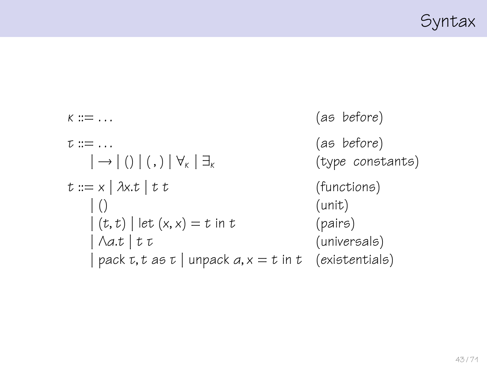

$$
\kappa ::= ...
$$
\n
$$
\tau ::= ...
$$
\n
$$
z ::= ...
$$
\n
$$
= \text{if } z = 0
$$
\n
$$
z := x | \lambda x.t | t t
$$
\n
$$
= \text{if } z = 0
$$
\n
$$
= \text{if } z = 1 \text{ and } z = 1 \text{ and } z = 0
$$
\n
$$
= \text{if } z = 1 \text{ and } z = 1 \text{ and } z = 1 \text{ and } z = 1 \text{ and } z = 1 \text{ and } z = 1 \text{ and } z = 1 \text{ and } z = 1 \text{ and } z = 1 \text{ and } z = 1 \text{ and } z = 1 \text{ and } z = 1 \text{ and } z = 1 \text{ and } z = 1 \text{ and } z = 1 \text{ and } z = 1 \text{ and } z = 1 \text{ and } z = 1 \text{ and } z = 1 \text{ and } z = 1 \text{ and } z = 1 \text{ and } z = 1 \text{ and } z = 1 \text{ and } z = 1 \text{ and } z = 1 \text{ and } z = 1 \text{ and } z = 1 \text{ and } z = 1 \text{ and } z = 1 \text{ and } z = 1 \text{ and } z = 1 \text{ and } z = 1 \text{ and } z = 1 \text{ and } z = 1 \text{ and } z = 1 \text{ and } z = 1 \text{ and } z = 1 \text{ and } z = 1 \text{ and } z = 1 \text{ and } z = 1 \text{ and } z = 1 \text{ and } z = 1 \text{ and } z = 1 \text{ and } z = 1 \text{ and } z = 1 \text{ and } z = 1 \text{ and } z = 1 \text{ and } z = 1 \text{ and } z = 1 \text{ and } z = 1 \text{ and } z = 1 \text{ and } z = 1 \text{ and } z = 1 \text{ and } z = 1 \text{ and } z = 1 \text{ and } z = 1 \text{ and } z = 1 \text{ and } z = 1 \text{ and } z = 1 \text{ and } z = 1 \text{ and } z = 1 \text{ and } z = 1 \text{ and } z = 1 \text{ and } z = 1 \text{ and } z = 1 \text{ and } z = 1 \text{ and } z = 1 \text{ and } z = 1 \text{ and } z =
$$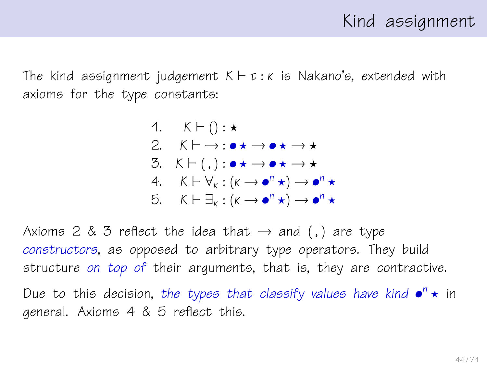### Kind assignment

The kind assignment judgement  $K \vdash \tau : \kappa$  is Nakano's, extended with axioms for the type constants:

\n- 1. 
$$
K \vdash () : \star
$$
\n- 2.  $K \vdash \rightarrow : \bullet \star \rightarrow \bullet \star \rightarrow \star$
\n- 3.  $K \vdash (,) : \bullet \star \rightarrow \bullet \star \rightarrow \star$
\n- 4.  $K \vdash \forall_k : (k \rightarrow \bullet^n \star) \rightarrow \bullet^n \star$
\n- 5.  $K \vdash \exists_k : (k \rightarrow \bullet^n \star) \rightarrow \bullet^n \star$
\n

Axioms 2 & 3 reflect the idea that  $\rightarrow$  and (,) are type constructors, as opposed to arbitrary type operators. They build structure on top of their arguments, that is, they are contractive. Due to this decision, the types that classify values have kind  $\bullet^n \star$  in general. Axioms 4 & 5 reflect this.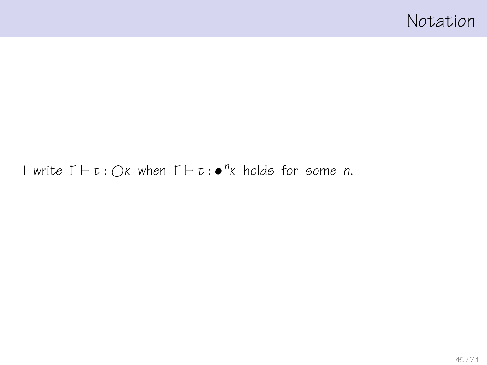### Notation

#### I write  $\Gamma \vdash \tau : \bigcirc \kappa$  when  $\Gamma \vdash \tau : \bullet^n \kappa$  holds for some n.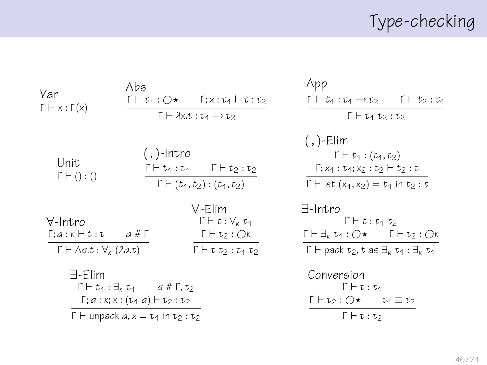# Type-checking

| Var<br>$\Gamma \vdash x : \Gamma(x)$                         | Abs                                                                                                              | 「⊦ひ:○★ 「;x : ひ ト t : t2<br>$\Gamma \vdash \lambda x.t : \tau_1 \rightarrow \tau_2$ |
|--------------------------------------------------------------|------------------------------------------------------------------------------------------------------------------|------------------------------------------------------------------------------------|
| Unit<br>$\Gamma \vdash () : ()$                              | (,)- $Intro$                                                                                                     | 「トtu:tu  「トt2:t2<br>$\Gamma \vdash (t_1, t_2) : (t_1, t_2)$                        |
| ∀-Intro<br>Γ:a:κ⊣t:τ a#Γ<br>Г ⊢ Ла.t : ∀ <sub>к</sub> (да.t) |                                                                                                                  | $\forall$ -Flim<br>Γ⊣τ:∀κτ1<br>$\Gamma\vdash \tau_2: \bigcirc \kappa$<br>「トtひ:ひ ひ  |
| 극-Flim                                                       | 「 ト tィ : ヨィ tィ   a # 「. t›<br>Г;а : к;х : (τィ а) ⊢ tっ : τっ<br>$\Gamma \vdash$ unpack $a, x = t_1$ in $t_2 : t_2$ |                                                                                    |

| App                                                                        |
|----------------------------------------------------------------------------|
| 「⊦セィ : モィ → モ০<br>$\Gamma \vdash t_2 : t_1$                                |
| 「トひな:ひ                                                                     |
| ( , )-Elim                                                                 |
| $\Gamma \vdash t_1 : (t_1,t_2)$                                            |
| Г: X1 : t4:X0 : to ⊢ to : t                                                |
| $\Gamma \vdash$ let $(x_1, x_2) = t_1$ in $t_2 : t$                        |
| $\exists$ -Intro<br>「トt: ひ ひ                                               |
| Г⊦∃ки:∩★ 「⊦t»:∩к                                                           |
| $\Gamma \vdash$ pack $\tau_2$ , t as $\exists_k \tau_1 : \exists_k \tau_1$ |
|                                                                            |

$$
\begin{array}{ll}\n\text{Conversion} \\
\Gamma \vdash t : \tau_1 \\
\Gamma \vdash \tau_2 : O \star \qquad \tau_1 \equiv \tau_2 \\
\hline\n\Gamma \vdash t : \tau_2\n\end{array}
$$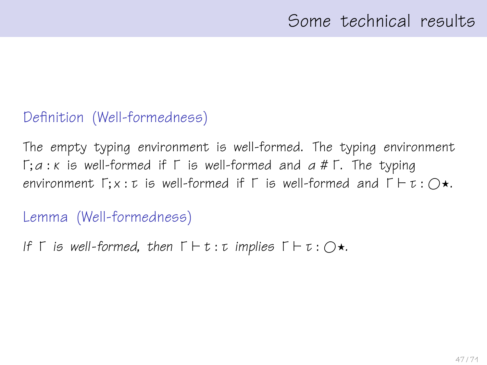### Definition (Well-formedness)

The empty typing environment is well-formed. The typing environment  $Γ; a : K$  is well-formed if  $Γ$  is well-formed and  $a # Γ$ . The typing environment  $\Gamma; x : \tau$  is well-formed if  $\Gamma$  is well-formed and  $\Gamma \vdash \tau : \bigcirc \star$ .

#### Lemma (Well-formedness)

```
If \Gamma is well-formed, then \Gamma \vdash t : t implies \Gamma \vdash t : \bigcirc \star.
```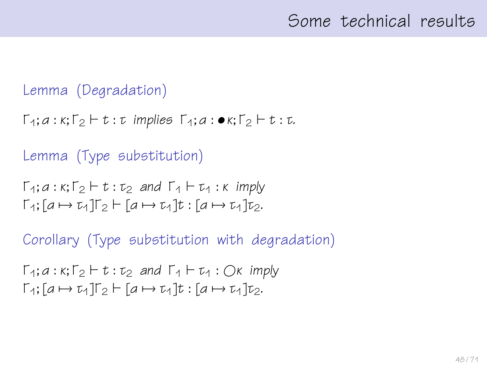### Some technical results

#### Lemma (Degradation)

```
\Gamma_1; a : \kappa; \Gamma_2 \vdash t : \tau implies \Gamma_4; a : \bullet \kappa; \Gamma_2 \vdash t : \tau.
```
### Lemma (Type substitution)

```
\Gamma_1; a : \kappa; \Gamma_2 \vdash t : \tau_2 and \Gamma_1 \vdash \tau_1 : \kappa imply
\Gamma_1; [a \mapsto \tau_1] \Gamma_2 \vdash [a \mapsto \tau_1] t : [a \mapsto \tau_1] \tau_2.
```
Corollary (Type substitution with degradation)

```
\Gamma_1: a : \kappa: \Gamma_2 \vdash t : \tau_2 and \Gamma_1 \vdash \tau_1 : \bigcirc \kappa imply
\Gamma_1; [a \mapsto \tau_1] \Gamma_2 \vdash [a \mapsto \tau_1] t : [a \mapsto \tau_1] \tau_2.
```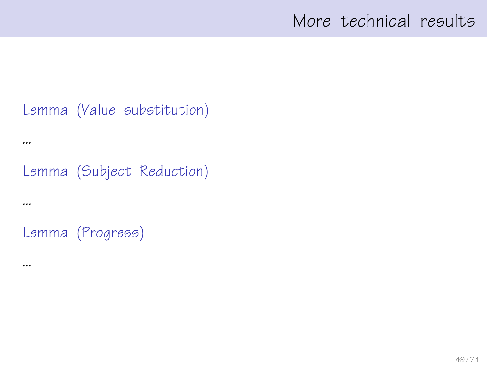### More technical results

#### Lemma (Value substitution)

#### ...

### Lemma (Subject Reduction)

#### ...

### Lemma (Progress)

#### ...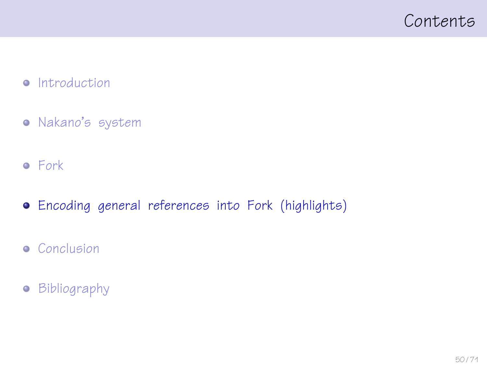### <span id="page-49-0"></span>Contents

#### • [Introduction](#page-1-0)

- [Nakano's system](#page-25-0)
- [Fork](#page-40-0)
- [Encoding general references into Fork \(highlights\)](#page-49-0)
- **•** [Conclusion](#page-64-0)
- [Bibliography](#page-66-0)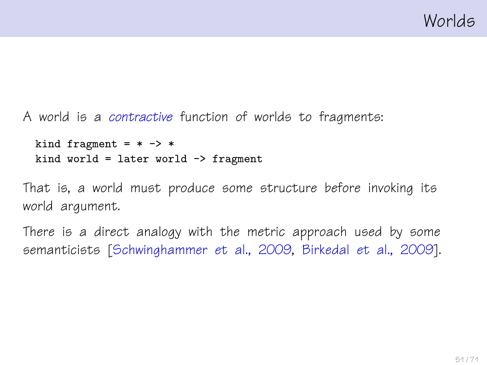A world is a contractive function of worlds to fragments:

```
kind fragment = * -> *kind world = later world \rightarrow fragment
```
That is, a world must produce some structure before invoking its world argument.

There is a direct analogy with the metric approach used by some semanticists [\[Schwinghammer et al., 2009,](#page-69-0) [Birkedal et al., 2009\]](#page-67-0).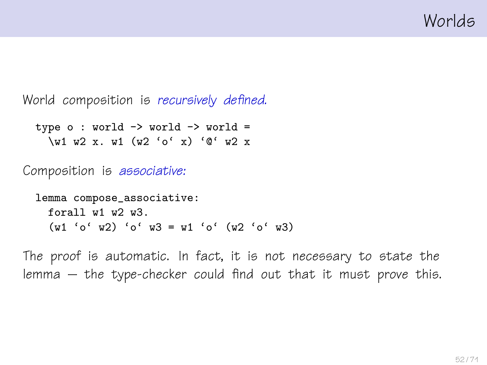Worlds

World composition is recursively defined.

```
type o: world \rightarrow world \rightarrow world =\w1 w2 x. w1 (w2 'o' x) '@' w2 x
```
Composition is associative:

```
lemma compose_associative:
 forall w1 w2 w3.
  (w1 'o' w2) 'o' w3 = w1 'o' (w2 'o' w3)
```
The proof is automatic. In fact, it is not necessary to state the lemma – the type-checker could find out that it must prove this.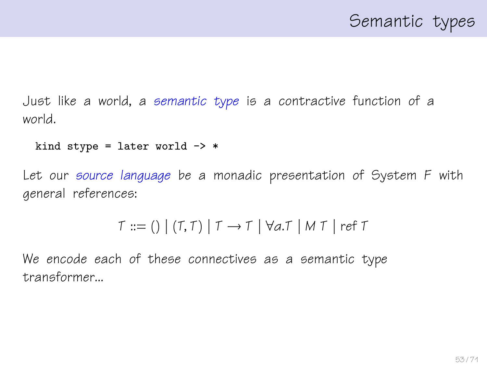Just like a world, a semantic type is a contractive function of a world.

```
kind stype = later world \rightarrow *
```
Let our source language be a monadic presentation of System F with general references:

```
T ::= () | (T,T) | T \rightarrow T | \forall a.T | M T | ref T
```
We encode each of these connectives as a semantic type transformer...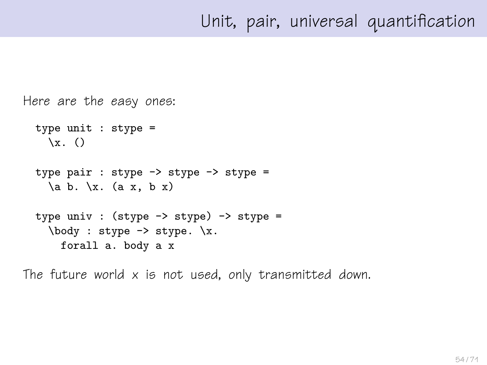## Unit, pair, universal quantification

```
Here are the easy ones:
  type unit : stype =
    \chi. ()
  type pair : stype \rightarrow stype \rightarrow stype =
    \{a \mid b. \setminus x. \ (a \mid x, b \mid x)\}type univ : (stype \rightarrow stype) \rightarrow stype =
     \body : stype -> stype. \x.
       forall a. body a x
```
The future world  $x$  is not used, only transmitted down.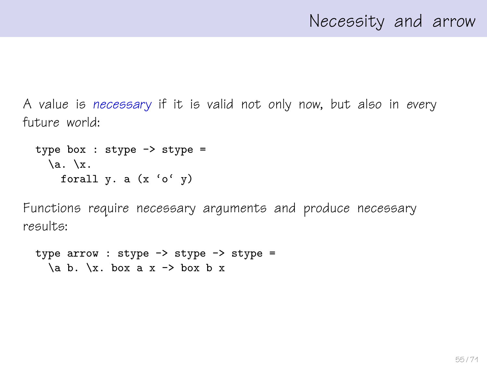### Necessity and arrow

A value is necessary if it is valid not only now, but also in every future world:

```
type box : stype \rightarrow stype =
  \lambda. \lambda.
     forall y. a (x 'o' y)
```
Functions require necessary arguments and produce necessary results:

```
type arrow : stype \rightarrow stype \rightarrow stype =
   \{a \mid b. \right. \setminus x. \text{box a } x \rightarrow \text{box b } x
```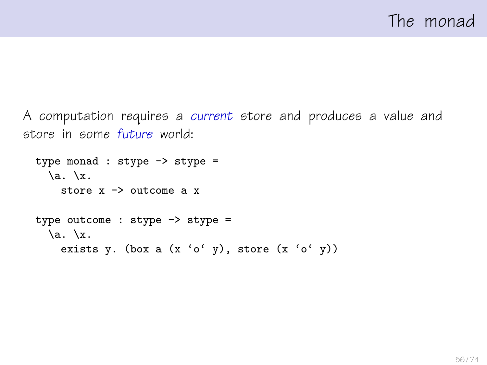A computation requires a current store and produces a value and store in some future world:

```
type monad : stype -> stype =
  \lambda. \lambda.
    store x \rightarrow outcome a xtype outcome : stype -> stype =
  \a. \ x.exists y. (box a (x 'o' y), store (x 'o' y))
```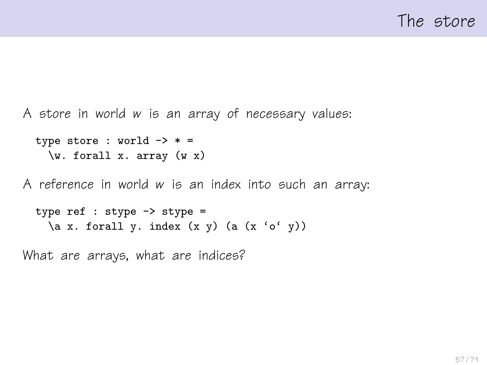A store in world w is an array of necessary values:

```
type store : world \rightarrow * =
  \forall w. forall x. array (w x)
```
A reference in world w is an index into such an array:

```
type ref : stype -> stype =
 \a x. forall y. index (x y) (a (x 'o' y))
```
What are arrays, what are indices?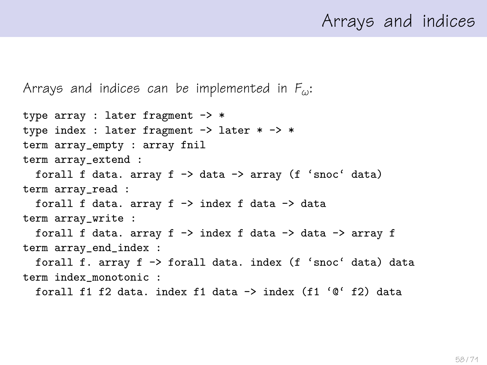### Arrays and indices

Arrays and indices can be implemented in  $F_{\omega}$ :

type array : later fragment -> \* type index : later fragment  $\rightarrow$  later  $*$   $\rightarrow$   $*$ term array\_empty : array fnil term array\_extend : forall f data. array  $f \rightarrow data \rightarrow array (f 'snoc' data)$ term array\_read : forall f data. array  $f \rightarrow$  index f data  $\rightarrow$  data term array\_write : forall f data. array f -> index f data -> data -> array f term array\_end\_index : forall f. array f -> forall data. index (f 'snoc' data) data term index\_monotonic : forall f1 f2 data. index f1 data -> index (f1 '@' f2) data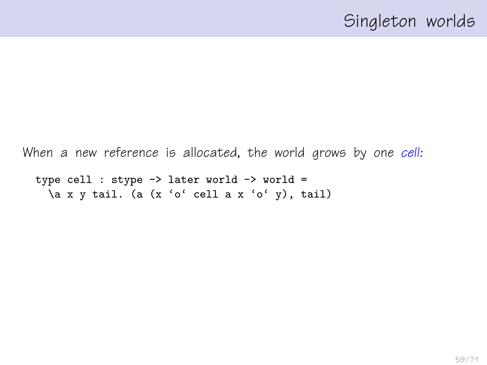```
When a new reference is allocated, the world grows by one cell:
 type cell : stype -> later world -> world =
```

```
\a x y tail. (a (x 'o' cell a x 'o' y), tail)
```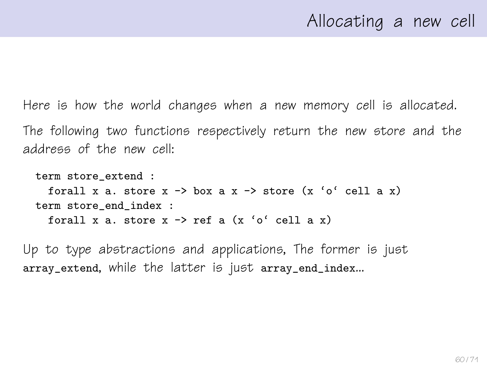Here is how the world changes when a new memory cell is allocated. The following two functions respectively return the new store and the address of the new cell:

```
term store_extend :
  forall x a. store x \rightarrow box a x \rightarrow store (x \land c \land c \land 1) a x)
term store end index :
  forall x a. store x \rightarrow ref a (x \circ cell a x)
```
Up to type abstractions and applications, The former is just array\_extend, while the latter is just array\_end\_index...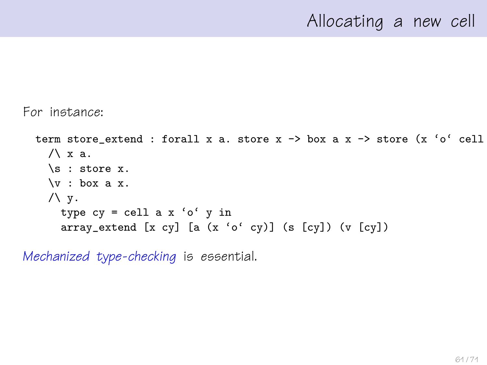### Allocating a new cell

#### For instance:

```
term store_extend : forall x a. store x \rightarrow box a x \rightarrow store (x 'o' cell
  /\lambda x a.
  \s : store x.
 \forall v : \text{box a } x./\Upsilon y.
    type cy = cell a x 'o' y inarray_extend [x cy] [a (x 'o' cy)] (s [cy]) (v [cy])
```
Mechanized type-checking is essential.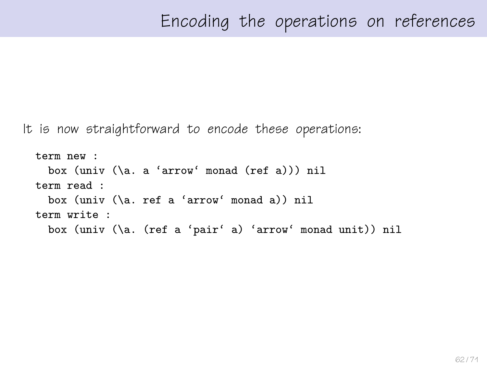It is now straightforward to encode these operations:

```
term new :
 box (univ (\a. a 'arrow' monad (ref a))) nil
term read :
 box (univ (\a. ref a 'arrow' monad a)) nil
term write :
 box (univ (\a. (ref a 'pair' a) 'arrow' monad unit)) nil
```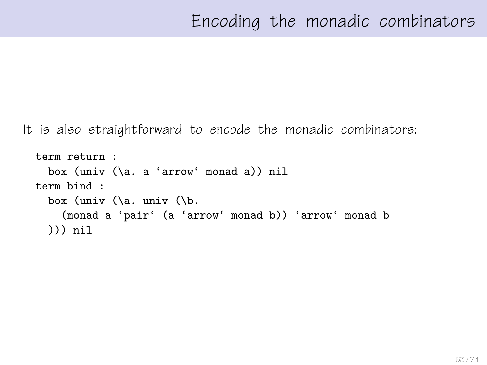It is also straightforward to encode the monadic combinators:

```
term return :
 box (univ (\a. a 'arrow' monad a)) nil
term bind :
  box (univ (\a. univ (\b.
    (monad a 'pair' (a 'arrow' monad b)) 'arrow' monad b
 ))) nil
```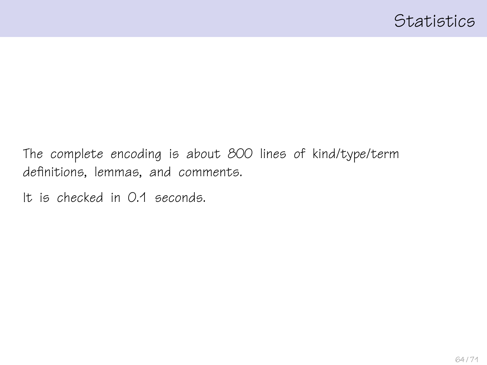The complete encoding is about 800 lines of kind/type/term definitions, lemmas, and comments.

It is checked in 0.1 seconds.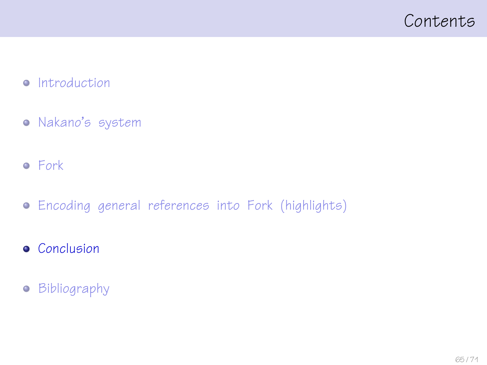### <span id="page-64-0"></span>Contents

#### • [Introduction](#page-1-0)

- [Nakano's system](#page-25-0)
- [Fork](#page-40-0)
- [Encoding general references into Fork \(highlights\)](#page-49-0)
- **•** [Conclusion](#page-64-0)
- [Bibliography](#page-66-0)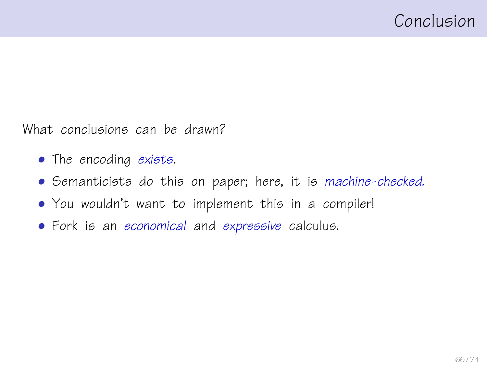What conclusions can be drawn?

- The encoding exists.
- Semanticists do this on paper; here, it is machine-checked.
- You wouldn't want to implement this in a compiler!
- Fork is an economical and expressive calculus.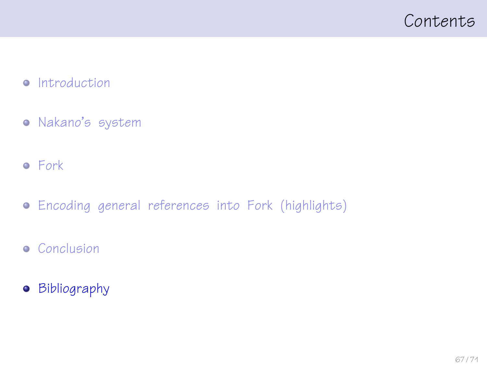### <span id="page-66-0"></span>Contents

#### • [Introduction](#page-1-0)

- [Nakano's system](#page-25-0)
- [Fork](#page-40-0)
- [Encoding general references into Fork \(highlights\)](#page-49-0)
- **•** [Conclusion](#page-64-0)
- **•** [Bibliography](#page-66-0)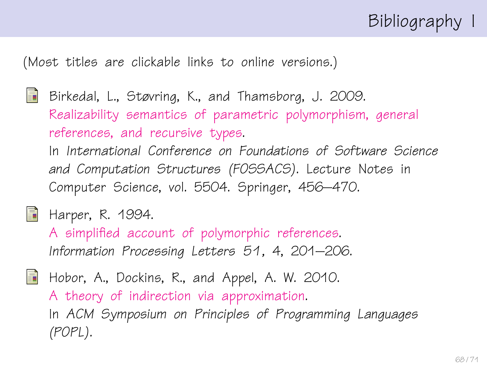# Bibliography I

(Most titles are clickable links to online versions.)

<span id="page-67-0"></span>Birkedal, L., Støvring, K., and Thamsborg, J. 2009. [Realizability semantics of parametric polymorphism, general](http://www.itu.dk/~birkedal/papers/parametricity-state-metric-conf.pdf) [references, and recursive types.](http://www.itu.dk/~birkedal/papers/parametricity-state-metric-conf.pdf) In International Conference on Foundations of Software Science and Computation Structures (FOSSACS). Lecture Notes in Computer Science, vol. 5504. Springer, 456–470.

<span id="page-67-2"></span> $\Box$  Harper, R. 1994.

[A simplified account of polymorphic references.](http://www.cs.cmu.edu/~rwh/papers/refs/ipl94.pdf) Information Processing Letters 51, 4, 201–206.

<span id="page-67-1"></span>Hobor, A., Dockins, R., and Appel, A. W. 2010. [A theory of indirection via approximation.](http://www.comp.nus.edu.sg/~hobor/indirection.pdf) In ACM Symposium on Principles of Programming Languages (POPL).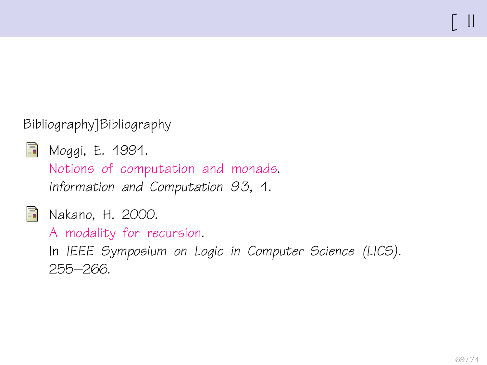### Bibliography]Bibliography

<span id="page-68-0"></span>

Moggi, E. 1991.

[Notions of computation and monads.](http://www.disi.unige.it/person/MoggiE/ftp/ic91.pdf) Information and Computation 93, 1.

<span id="page-68-1"></span>

**Nakano, H. 2000.** 

[A modality for recursion.](http://www602.math.ryukoku.ac.jp/~nakano/papers/modality-lics00.ps.gz)

In IEEE Symposium on Logic in Computer Science (LICS). 255–266.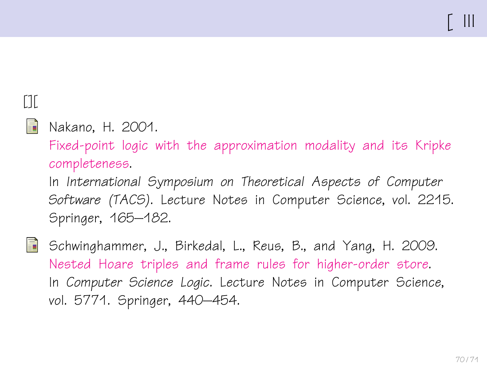# $[1]$

#### <span id="page-69-1"></span>F Nakano, H. 2001.

[Fixed-point logic with the approximation modality and its Kripke](http://www602.math.ryukoku.ac.jp/~nakano/papers/modality-tacs01.pdf) [completeness.](http://www602.math.ryukoku.ac.jp/~nakano/papers/modality-tacs01.pdf)

In International Symposium on Theoretical Aspects of Computer Software (TACS). Lecture Notes in Computer Science, vol. 2215. Springer, 165–182.

<span id="page-69-0"></span>螶 Schwinghammer, J., Birkedal, L., Reus, B., and Yang, H. 2009. [Nested Hoare triples and frame rules for higher-order store.](http://www.itu.dk/~birkedal/papers/nested-triples-conf.pdf) In Computer Science Logic. Lecture Notes in Computer Science, vol. 5771. Springer, 440–454.